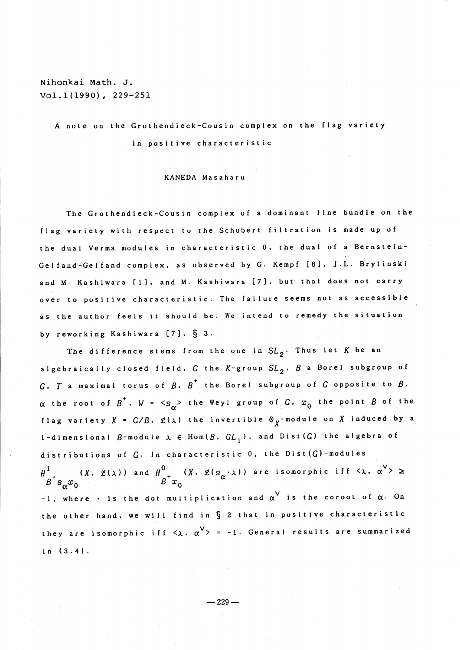## Nihonkai Math. J. Vol. 1(1990), 229-251

<sup>A</sup> note on the Grothendieck-Cousin complex on the flag variety in positive characteristic

## KANEDA Masaharu

The Grothendieck-Cousin complex of <sup>a</sup> dominant line bundle on the flag variety with respect to the Schubert filtration is made up of the dual Verma modules in characteristic 0, the dual of a Bernstein-Gelfand-Gelfand complex, as observed by G. Kempf [8], J.L. Brylinski and M. Kashiwara [1], and M. Kashiwara [7], but that does not carry over to positive characteristic. The failure seems not as accessible as the author feels it should be. We intend to remedy the situation by reworking Kashiwara  $[7]$ ,  $\S$  3.

The difference stems from the one in  $SL_{2}$ . Thus let K be an algebraically closed field,  $G$  the  $K$ -group  $SL_{2}$ ,  $B$  a Borel subgroup of  $G$ . T a maximal torus of  $B$ .  $B^{+}$  the Borel subgroup of  $G$  opposite to  $B$ .  $\alpha$  the root of  ${\beta}^{+}$ , W =  ${<_{S_{\alpha}}}>$  the Weyl group of  $G$ ,  $x_{0}$  the point  $B$  of the flag variety  $X = G/B$ ,  $\mathcal{L}(\lambda)$  the invertible  $\mathcal{O}_X$ -module on X induced by a 1-dimensional  $B$ -module  $\lambda \in$   $\text{Hom}(B, GL_{1})$ , and Dist  $(G)$  the algebra of distributions of  $G$ . In characteristic 0, the Dist  $(G)$ -modules  $H^{1}_{\pm\pm}$  (X, L( $\lambda$ )) and  $H^{0}_{\pm\pm}$  (X, L( $s_{\alpha} \cdot$  $\lambda$ )) are isomorphic iff  $\langle \lambda,$  $\sim$  3  $\sim$ -1, where  $\cdot$  is the dot multiplication and  $\alpha^{\vee}$  is the coroot of  $\alpha$ . On the other hand, we will find in  $\S$  2 that in positive characteristic they are isomorphic iff  $\langle \lambda, \rangle$  $\alpha^{\mathsf{V}}>$  = -1. General results are summarized in (3.4).

 $-229-$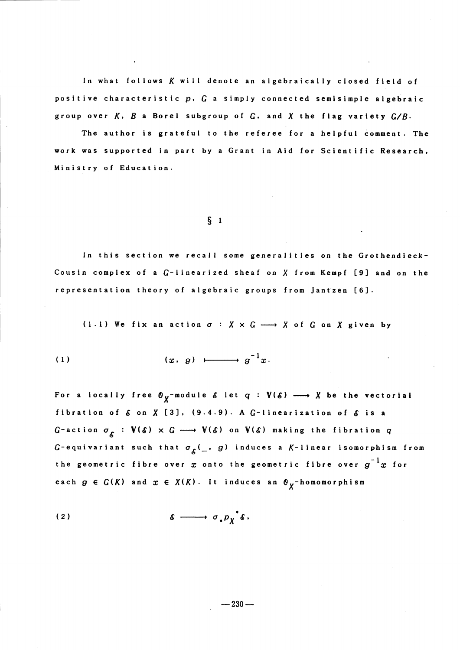In what follows  $K$  will denote an algebraically closed field of positive characteristic  $p, G$  a simply connected semisimple algebraic group over  $K$ ,  $B$  a Borel subgroup of  $G$ , and  $X$  the flag variety  $G/B$ .

The author is grateful to the referee for <sup>a</sup> helpful comment. The work was supported in part by <sup>a</sup> Grant in Aid for Scientific Research. Ministry of Education.

## $\S$  1

In this section we recall some generalities on the Grothendieck-Cousin complex of a  $G$ -linearized sheaf on  $X$  from Kempf [9] and on the representation theory of algebraic groups from Jantzen [61.

(1.1) We fix an action  $\sigma$  :  $X \times G \longrightarrow X$  of  $G$  on  $X$  given by

(1.1) We fix an action 
$$
\sigma : X \times G
$$
 —  
(1)  $(x, g) \longmapsto g^{-1}x$ .

For a locally free  $\sigma_{\chi}$ -module  $\delta$  let  $q : V(\delta) \longrightarrow X$  be the vectorial fibration of  $\delta$  on  $X$  [3]. (9.4.9). A  $G$ -linearization of  $\delta$  is a G-action  $\sigma_{\mathcal{E}}$  :  $V(\delta) \times G \longrightarrow V(\delta)$  on  $V(\delta)$  making the fibration  $q$ G-equivariant such that  $\sigma_{\hat{\mathcal{S}}}(\_\$ , g) induces a K-linear isomorphism from the geometric fibre over  $x$  onto the geometric fibre over  $g^{-1}x$  for each  $g \in G(K)$  and  $x \in X(K)$ . It induces an  $\Theta_{\chi}$ -homomorphism

$$
\text{(2)} \quad \delta \longrightarrow \sigma_* p_{\chi}^* \delta.
$$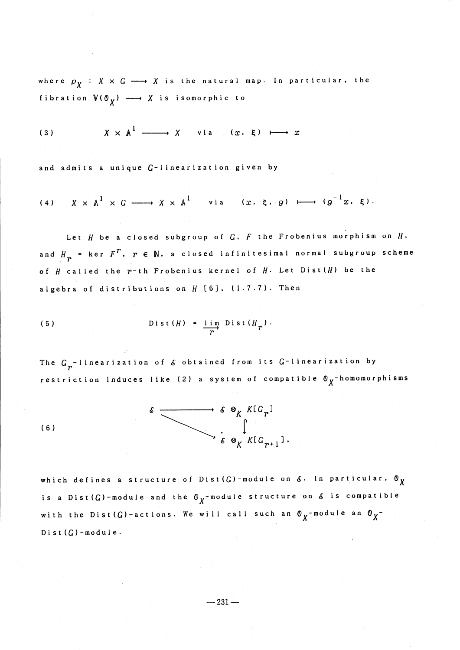where  $p_{X} : X \times G \longrightarrow X$  is the natural map. In particular, the fibration  $V(\mathbb{O}_X) \longrightarrow X$  is isomorphic to

(3) 
$$
X \times A^1 \longrightarrow X
$$
 via  $(x, \xi) \longmapsto x$ 

and admits a unique  $G$ -linearization given by

(4) 
$$
X \times \mathbb{A}^1 \times G \longrightarrow X \times \mathbb{A}^1
$$
 via  $(x, \xi, g) \longmapsto (g^{-1}x, \xi)$ 

Let  $H$  be a closed subgroup of  $G$ .  $F$  the Frobenius morphism on  $H$ . and  $H_{\mathbf{m}}$  = ker  $F^{\mathcal{F}}$ ,  $r$   $\in$   $\mathbb{N}$ , a closed infinitesimal normal subgroup scheme of  $H$  called the  $r^{-}$ th Frobenius kernel of  $H$ . Let Dist  $(H)$  be the algebra of distributions on  $H$  [6]. (1.7.7). Then

(5) 
$$
\operatorname{Dist}(H) = \frac{\operatorname{lim}}{r} \operatorname{Dist}(H_T).
$$

The  $G_{r}$ -linearization of  $\epsilon$  obtained from its  $G$ -linearization by restriction induces like (2) a system of compatible  $\sigma_{\chi}$ -homomorphisms



which defines a structure of Dist(G)-module on  $\delta$ . In particular,  $\sigma_{\chi}$ is a  $Dist(G)$  -module and the  $\mathcal{O}_X$  -module structure on  $\delta$  is compatible with the Dist  $(G)$  -actions. We will call such an  $\sigma_{X}$ -module an  $\sigma_{X}^{-}$ Dist $(G)$  -module.

 $-231-$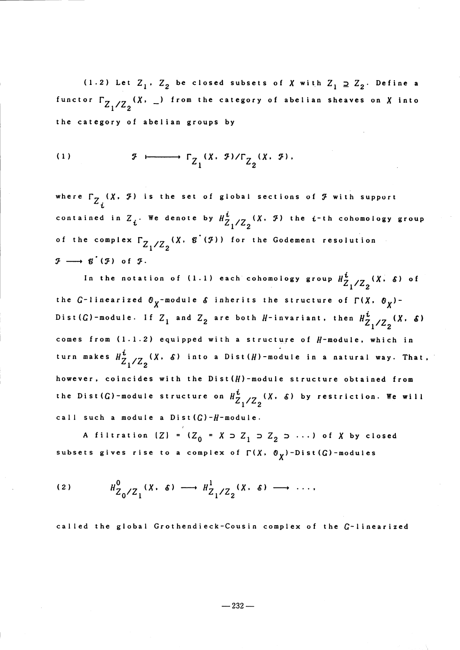(1.2) Let  $Z_{1}$ ,  $Z_{2}$  be closed subsets of  $X$  with  $Z_{1} \supseteq Z_{2}$ . Define a functor  $\Gamma_{Z_1/Z_2}(\chi, -)$  from the category of abelian sheaves on  $\chi$  into the category of abelian groups by the category of abelian<br>
(1)  $\begin{array}{c} \mathcal{F} \\ \mathcal{F} \end{array}$ 

$$
(1) \t\t\t\t\t\t\mathcal{F} \longmapsto \Gamma_{Z_1}(X, \mathcal{F})/\Gamma_{Z_2}(X, \mathcal{F}).
$$

where  $\Gamma_{Z_{\cal P}}^{\bullet}$  (X, F) is the set of global sections of F with support contained in  $Z_{\bm{i}}$ . We denote by  $H^{ \bm{i}}_{Z_{\bm{1}}/Z_{\bm{2}}}(X.$   $\bm{\mathcal{F}})$  the  $\bm{i}$ -th cohomology group of the complex  $\Gamma_{Z_{1}/Z_{2}}(\chi, g^{*}(\mathcal{F}))$  for the Godement resolution  $\mathcal{F} \longrightarrow \mathcal{G}'(\mathcal{F})$  of  $\mathcal{F}$ .

In the notation of (1.1) each cohomology group  $H_{Z_{1}}^{i}/Z_{2}^{i}(\chi, \delta)$  of the G-linearized  $\sigma_{\chi}$ -module  $\delta$  inherits the structure of  $\Gamma(X, \ \sigma_{\chi})$ -Dist  $(G)$ -module. If  $Z_{1}$  and  $Z_{2}$  are both  $H$ -invariant, then  $H_{Z_{1}}^{i}/Z_{2}^{i}(\chi, \delta)$ comes from  $(1.1.2)$  equipped with a structure of  $H$ -module, which in turn makes  $H^{i}_{Z_{1}/Z_{0}}$   $(X, \delta)$  into a Dist  $(H)$  -module in a natural way. That, however, coincides with the  $Dist(H)$  -module structure obtained from the Dist (G)-module structure on  $H_{Z_{1}}^{i}/Z_{2}^{(X_{i}+\delta)}$  by restriction. We will call such a module a  $Dist(G)-H$  -module.

A filtration  $|Z| = (Z_{0} = X \supset Z_{1} \supset Z_{2} \supset ... )$  of X by closed subsets gives rise to a complex of  $\Gamma(X, \Theta_{\chi})$ -Dist(G)-modules

$$
(2) \tH_{Z_0/Z_1}^0(X, \delta) \longrightarrow H_{Z_1/Z_2}^1(X, \delta) \longrightarrow \cdots
$$

called the global Grothendieck-Cousin complex of the G-linearized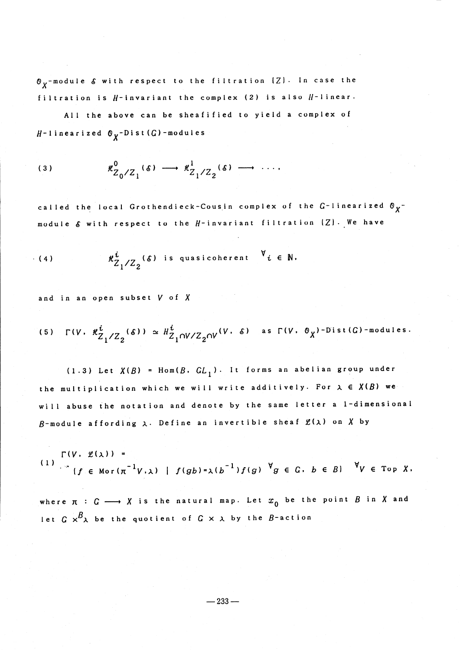$\sigma_{X}$ -module  $\delta$  with respect to the filtration  $\{Z\}$ . In case the filtration is  $H$ -invariant the complex (2) is also  $H$ -linear.

All the above can be sheafified to yield <sup>a</sup> complex of  $H-1$  inearized  $\mathcal{O}_{Y}-D$  ist  $(G)$  -modules

$$
\kappa^0_{Z_0/Z_1}(\delta) \longrightarrow \kappa^1_{Z_1/Z_2}(\delta) \longrightarrow \cdots
$$

called the local Grothendieck-Cousin complex of the  $G$ -linearized  $\mathcal{O}_{\chi^{-}}$ module  $\delta$  with respect to the  $H$ -invariant filtration  $\{Z\}$  . We have

(4) 
$$
\mathcal{H}_{Z_1/Z_2}^i(\delta) \text{ is quasicoherent } \forall i \in \mathbb{N}.
$$

and in an open subset  $V$  of  $X$ 

(5) 
$$
\Gamma(V, \mathcal{H}_{Z_1/Z_2}^i(\delta)) \simeq \mathcal{H}_{Z_1 \cap V/Z_2 \cap V}^i(V, \delta)
$$
 as  $\Gamma(V, \mathcal{O}_X)$ -Dist(G)-modules.

(1.3) Let  $X(B)$  =  $\text{Hom}(B, GL_{1})$ . It forms an abelian group under the multiplication which we will write additively. For  $\lambda \in X(B)$  we will abuse the notation and denote by the same letter <sup>a</sup> l-dimensional  $B$ -module affording  $\lambda$ . Define an invertible sheaf  $\mathscr{L}(\lambda)$  on X by

(1) 
$$
\Gamma(V, \mathcal{L}(\lambda)) =
$$
  
(1) 
$$
\int_{\mathcal{L}} (f \in Mor(\pi^{-1}V, \lambda) | f(gb) = \lambda(b^{-1})f(g) \times g \in G, b \in B) \times V \in Top X.
$$

where  $\pi : G \longrightarrow X$  is the natural map. Let  $x_{0}$  be the point  $B$  in X and let  $G$   $\times^{B}$   ${}$  be the quotient of  $G$   $\times$   ${}$   ${}$  by the  $B$ -action

$$
-233-
$$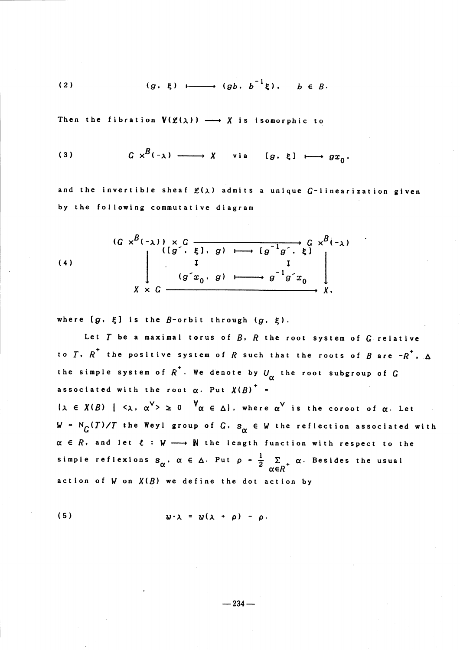(2) 
$$
(g, \xi) \longmapsto (gb, b^{-1}\xi), b \in B.
$$

Then the fibration 
$$
V(g(\lambda)) \longrightarrow X
$$
 is isomorphic to  
\n(3)  $G \times^{B}(-\lambda) \longrightarrow X$  via  $[g, \xi] \longmapsto gx_0$ .

and the invertible sheaf  $\mathfrak{L}(\lambda)$  admits a unique G-linearization given by the following commutative diagram

(4) 
$$
(G \times^{B}(-\lambda)) \times G
$$
  $(fg^{-1}, g) \longmapsto [g^{-1}g^{-1}, \xi] \times^{B}(-\lambda)$   
\n $\downarrow$   $(g \cdot x_0, g) \longmapsto g^{-1}g \cdot x_0$   
\n $\downarrow$   $x \times G$ 

where  $[g, \xi]$  is the  $B$ -orbit through  $(g, \xi)$ .

Let  $T$  be a maximal torus of  $B$ ,  $R$  the root system of  $G$  relative to  $T$ ,  $R^{{^+}}$  the positive system of  $R$  such that the roots of  $B$  are  $-R^{{^+}}$ ,  $\Delta$ the simple system of  $R^{+}$ . We denote by  $U_{\alpha}$  the root subgroup of  $G$ associated with the root  $\alpha$ . Put  $X(B)^{+}$  =  $\{ \lambda \in X(B) \mid \langle \lambda, \, \alpha^{\vee} \rangle \geq 0 \quad {}^{\forall} \alpha \in \Delta \}.$  where  $\alpha^{\vee}$  is the coroot of  $\alpha.$  Let  $W = N_G(T)/T$  the Weyl group of  $G$ ,  $s_{\alpha} \in W$  the reflection associated with  $\alpha \in R$ , and let  $t : W \longrightarrow N$  the length function with respect to the simple reflexions  $s_{\alpha}^{},\alpha\,\in\,\Delta.$  Put  $\rho$  =  $\frac{1}{2}\quad\sum_{+}\alpha.$  Besides the usual action of  $W$  on  $X(B)$  we define the dot action by

$$
(5) \t\t\t w \cdot \lambda = w(\lambda + \rho) - \rho.
$$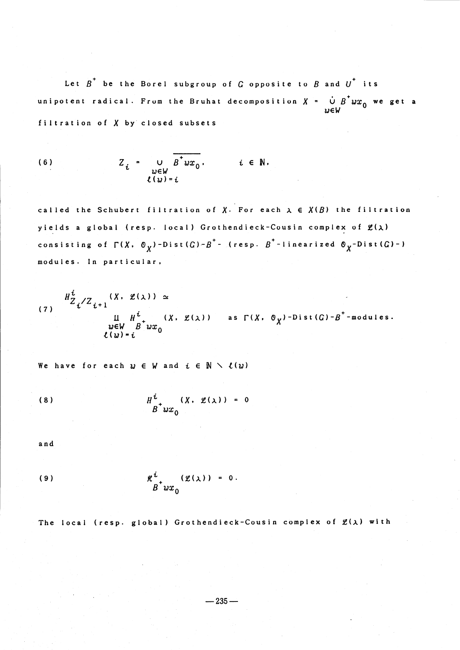Let  $B^{+}$  be the Borel subgroup of  $G$  opposite to  $B$  and  $U^{+}$  its unipotent radical. From the Bruhat decomposition  $X$  =  $\stackrel{\cdot}{\cup}$   $B^{+}wx_{0}$  we get a  $w \in W$ filtration of  $X$  by closed subsets

(6) 
$$
Z_{i} = \bigcup_{\substack{w \in W \\ \ell(w) = i}} \overline{B^{+}wx_{0}}, \qquad i \in \mathbb{N}.
$$

called the Schubert filtration of X. For each  $\lambda \in X(B)$  the filtration yields a global (resp. local) Grothendieck-Cousin complex of  $\mathfrak{L}(\lambda)$ consisting of  $\Gamma$ (X,  $\Phi$ <sub>X</sub>)-Dist(G)-B<sup>+</sup>- (resp. B<sup>+</sup>-linearized  $\Phi$ <sub>X</sub>-Dist(G)-) modules. In particular,

$$
H_{Z_{i}/Z_{i+1}}^{i}(\chi, g(\chi)) \simeq
$$
  
\nII  $H_{i}^{i}(\chi, g(\chi))$  as  $\Gamma(\chi, \theta_{\chi})$ -Dist $(G)-B^{+}$ -modules.  
\n $u \in W B^{+} w x_{0}$   
\n $\ell(w) = i$ 

We have for each  $w \in W$  and  $i \in \mathbb N \searrow \ell(w)$ 

$$
(8) \tHt0 (X, \mathscr{L}(\lambda)) = 0
$$

and

$$
\mathcal{H}^{i}_{\stackrel{\sim}{B}^+ \mathcal{U} \mathcal{X}_0} (\mathcal{L}(\lambda)) = 0.
$$

The local (resp. global) Grothendieck-Cousin complex of  $\mathcal{L}(\lambda)$  with

$$
-235-
$$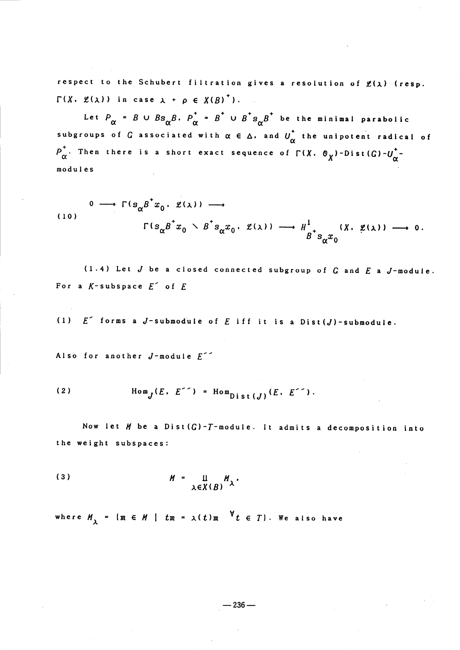respect to the Schubert filtration gives a resolution of  $\mathfrak{L}(\lambda)$  (resp.  $\Gamma(X, \mathcal{L}(\lambda))$  in case  $\lambda + \rho \in X(B)^{+}$ ).

Let  $P_{\alpha} = B \cup Bs_{\alpha}B$ .  $P_{\alpha}^{+} = B^{+} \cup B^{+}s_{\alpha}B^{+}$  be the minimal parabolic subgroups of  $G$  associated with  $\alpha \in \Delta$ , and  $U_{\alpha}^{+}$  the unipotent radical of  $P_{\alpha}^{+}$ . Then there is a short exact sequence of  $\Gamma(X. \ \mathcal{O}_{X})$ -Dist $(G)-U_{\alpha}^{+}$ modules

$$
\begin{array}{ccccccc}\n & 0 & \longrightarrow & \Gamma(s_{\alpha}\beta^{+}x_{0} & \ell(\lambda)) & \longrightarrow \\
 & & & & & & \\
 & & & & & & \\
 & & & & & & & \\
 & & & & & & & \\
 & & & & & & & \\
 & & & & & & & \\
 & & & & & & & & \\
 & & & & & & & & \\
 & & & & & & & & & \\
 & & & & & & & & & \\
 & & & & & & & & & & \\
 & & & & & & & & & & \\
 & & & & & & & & & & & \\
 & & & & & & & & & & & \\
 & & & & & & & & & & & & \\
 & & & & & & & & & & & & \\
 & & & & & & & & & & & & \\
 & & & & & & & & & & & & & \\
 & & & & & & & & & & & & & \\
 & & & & & & & & & & & & & \\
 & & & & & & & & & & & & & \\
 & & & & & & & & & & & & & \\
 & & & & & & & & & & & &
$$

(1.4) Let  $J$  be a closed connected subgroup of  $G$  and  $E$  a  $J$ -module. For a  $K$ -subspace  $E^{\sim}$  of  $E$ 

(1)  $E^{\uparrow}$  forms a J-submodule of  $E$  iff it is a Dist  $(J)$  -submodule.

Also for another  $J$ -module  $E^{\sim}$ 

(2) 
$$
\text{Hom}_{I}(E, E^{\text{-}}) = \text{Hom}_{D,\text{ist}(I)}(E, E^{\text{-}}).
$$

Now let  $M$  be a Dist  $(G)$ -T-module. It admits a decomposition into the weight subspaces:

(3) \$H\$ . \$\lambda\in X(B)UH\_{\lambda}\$ .

where  $M_{\lambda}$  = { $m \in M$  |  $tm$  =  $\lambda(t)$  $m$   $\forall$   $t \in T$ }. We also have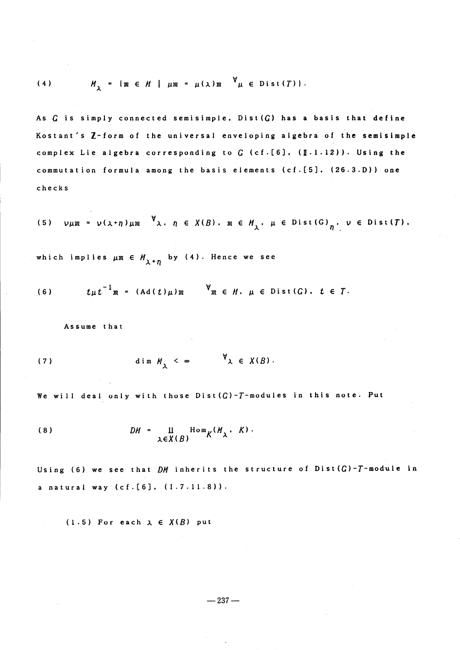(4) 
$$
M_{y} = \{m \in M \mid \mu m = \mu(\lambda) m \quad \forall \mu \in Dist(T) \}.
$$

As  $G$  is simply connected semisimple, Dist $(G)$  has a basis that define Kostant's Z-form of the universal enveloping algebra of the semisimple complex Lie algebra corresponding to  $G$  (cf.[6], ( $[1.1.12)$ ). Using the commutation formula among the basis elements  $(cf.[5]$ ,  $(26.3.D)$  ) one checks

(5) 
$$
\nu \mu m = \nu (\lambda + \eta) \mu m
$$
  $\forall \lambda, \eta \in X(B), \mu \in M_{\lambda}, \mu \in Dist(G)_{\eta}, \nu \in Dist(T).$ 

which implies  $\mu \mathfrak{m} \in H_{\lambda + \eta}$  by (4). Hence we see

(6) 
$$
t\mu t^{-1}m = (Ad(t)\mu)m \qquad \forall m \in M. \mu \in Dist(G). \quad t \in T.
$$

Assume that

(7) 
$$
\dim M, \leq \infty \qquad \forall \lambda \in X(B).
$$

We will deal only with those  $Dist(G)-T$  -modules in this note. Put

(8) \$Dl/\$ \$\cdot\$ \$\coprod\$ \$Hom\_{K^{1ll\_{\lambda}}}\$ , \$K\$ ). \$\lambda\in X1B)\$

Using (6) we see that  $DM$  inherits the structure of Dist  $(G)-T$ -module in a natural way (cf. [6], (I. 7.11.8)).

(1.5) For each  $\lambda \in X(B)$  put

 $-237-$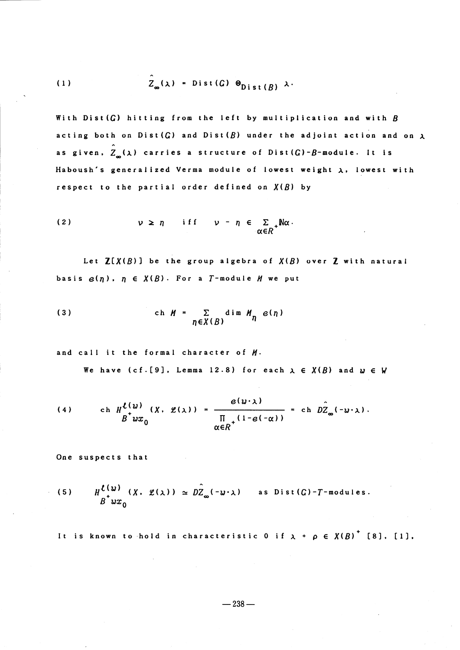(1) 
$$
\hat{Z}_{\infty}(\lambda) = Dist(G) \otimes_{Dist(R)} \lambda
$$

With Dist  $(G)$  hitting from the left by multiplication and with  $B$ acting both on Dist( $G$ ) and Dist( $B$ ) under the adjoint action and on  $\lambda$ as given,  $\hat{Z}_{\mu}(\lambda)$  carries a structure of Dist  $(G)$ - $B$ -module. It is Haboush's generalized Verma module of lowest weight  $\lambda$ , lowest with respect to the partial order defined on  $X(B)$  by

(2) 
$$
\nu \ge n
$$
 if  $\nu - n \in \sum_{\alpha \in R^+} \mathbb{N} \alpha$ .

Let  $\mathbf{Z}[X(B)]$  be the group algebra of  $X(B)$  over  $\mathbf Z$  with natural basis  $\boldsymbol{\varrho}(\eta)$ ,  $\eta \in X(B)$ . For a  $T$ -module  $H$  we put

(3) 
$$
\operatorname{ch} M = \sum_{\eta \in X(B)} \dim M_{\eta} e(\eta)
$$

and call it the formal character of  $M$ .

We have (cf. [9], Lemma 12.8) for each  $\lambda \in X(B)$  and  $w \in W$ 

(4) 
$$
\operatorname{ch} H_{\Delta w}^{(w)}(X, \mathcal{L}(\lambda)) = \frac{e(w \cdot \lambda)}{\prod_{\substack{\alpha \in R^+}} (1 - e(-\alpha))} = \operatorname{ch} D \hat{Z}_{\infty}(-w \cdot \lambda).
$$

One suspects that

(5) 
$$
H^{L(\omega)}(X, \mathcal{L}(\lambda)) \simeq D\hat{Z}_{\infty}(-\omega \cdot \lambda)
$$
 as Dist(*G*)-*T*-modules.  
 $B^{\dagger}wx_0$ 

It is known to hold in characteristic 0 if  $\lambda$  +  $\rho$   $\in$   $X(B)^{+}$  [8], [1],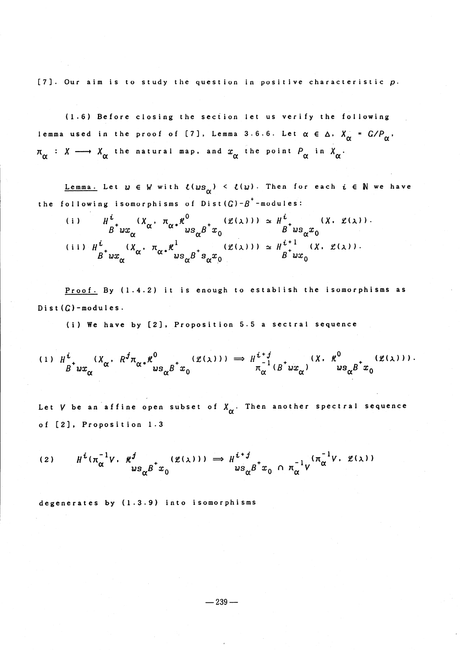[7]. Our aim is to study the question in positive characteristic  $p$ .

(1.6) Before closing the section let us verify the following lemma used in the proof of [7], Lemma 3.6.6. Let  $\alpha \in \Delta$ ,  $X_{\alpha} = G/P_{\alpha}$ ,  $\pi_{\sim}$  :  $X \longrightarrow X_{\sim}$  the natural map. and  $x_{\sim}$  the point  $P_{\sim}$  in  $X_{\sim}$ .

<u>Lemma.</u> Let  $w \in W$  with  $\mathcal{L}(w s_{\alpha}) < \mathcal{L}(w)$ . Then for each  $i \in \mathbb{N}$  we have the following isomorphisms of Dist $(G)-B^{+}$ -modules:

(i) 
$$
H_{\alpha}^{i}
$$
  $(X_{\alpha} \cdot \pi_{\alpha} * \mathcal{H}_{\omega_{\alpha}}^{0} g^{+}x_{0} \cdot (\mathcal{L}(\lambda))) \approx H_{\omega_{\alpha}}^{i}$   $(X \cdot \mathcal{L}(\lambda)) \cdot$   
\n(ii)  $H_{\beta}^{i}$   $(X_{\alpha} \cdot \pi_{\alpha} * \mathcal{H}_{\omega_{\alpha}}^{1} g^{+}x_{0} \cdot (\mathcal{L}(\lambda))) \approx H_{\beta}^{i+1}$   $(X \cdot \mathcal{L}(\lambda)) \cdot$   
\n(iii)  $H_{\beta}^{i}$   $(X_{\alpha} \cdot \pi_{\alpha} * \mathcal{H}_{\omega_{\alpha}}^{1} g^{+}x_{0} \cdot (\mathcal{L}(\lambda))) \approx H_{\beta}^{i+1}$   $(X \cdot \mathcal{L}(\lambda)) \cdot$ 

Proof. By (1.4.2) it is enough to establish the isomorphisms as Dist  $(G)$  -modules.

(i) We have by [2], Proposition 5.5 <sup>a</sup> sectral sequence

$$
\begin{array}{ccccc}\n(1) & H^i & (X_{\alpha} & R^j \pi_{\alpha *} * \mathcal{R}^0 & (\mathcal{L}(\lambda))) & \Rightarrow & H^{i+j} & (X, \mathcal{R}^0 & (\mathcal{L}(\lambda))) \\ & B^* w x_{\alpha} & w s_{\alpha} B^* x_0 & & \pi_{\alpha}^{-1} (B^* w x_{\alpha}) & w s_{\alpha} B^* x_0\n\end{array}
$$

Let V be an affine open subset of  $X_{\alpha}$ . Then another spectral sequence of [2], Proposition 1.3

$$
(2) \tH^{i}(\pi_{\alpha}^{-1}V \cdot \mathcal{H}_{\omega s_{\alpha}B}^{j} \cdot x_{0}^{(\mathcal{L}(\lambda))}) \implies H^{i+j}_{\omega s_{\alpha}B} x_{0}^{(\pi_{\alpha}^{-1}V \cdot \mathcal{L}(\lambda))}
$$

degenerates by (1.3.9) into isomorphisms

 $-239-$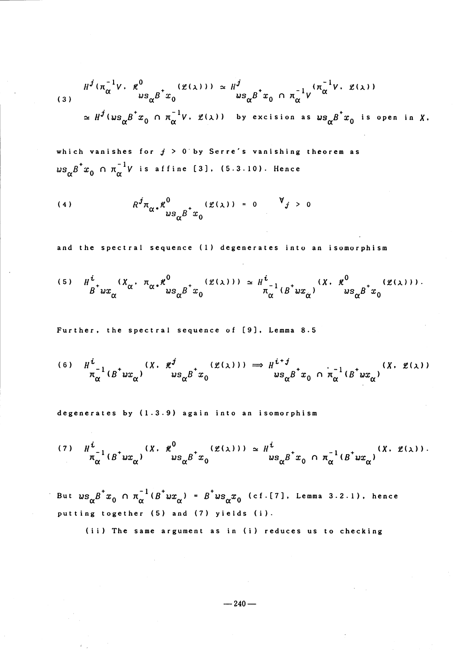$$
(3) \quad H^{j}(\pi_{\alpha}^{-1}V, \mathcal{H}_{\alpha}^{0} \mathcal{B}^{+}x_{0} \mathcal{B}^{+}x_{0}) \simeq H^{j} \quad \text{as} \quad H^{j}(\pi_{\alpha}^{-1}V, \mathcal{H}_{\alpha}^{0})
$$
\n
$$
\simeq H^{j}(w s_{\alpha} B^{+}x_{0} \cap \pi_{\alpha}^{-1}V, \mathcal{H}_{\alpha}^{0}) \quad \text{by excision as} \quad w s_{\alpha} B^{+}x_{0} \text{ is open in } X.
$$

which vanishes for  $j > 0$  by Serre's vanishing theorem as  $\omega s_{\alpha}B^{+}x_{0} \ \cap \ \pi_{\alpha}^{-1}V$  is affine [3], (5.3.10). Hence

(4) 
$$
R^{j} \pi_{\alpha} \cdot \mathcal{H}^{0} \qquad \qquad 2 \pi_{\alpha} \cdot \mathcal{H}^{0} \qquad \qquad 2 \cdot \mathcal{H}^{j} > 0
$$

and the spectral sequence (1) degenerates into an isomorphism

$$
(5) \quad H_{\stackrel{\circ}{B}^+ u x_{\alpha}}^{i} (X_{\alpha} \cdot \pi_{\alpha} \cdot \pi_{\alpha \circ}^{0} \cdot \pi_{\alpha \circ}^{0} \cdot (\ell(\lambda))) \simeq H_{\stackrel{\circ}{\alpha}}^{i} (B^{\dagger} u x_{\alpha}) \quad (X. \quad \ell^{0} \quad (\ell(\lambda))).
$$

Further, the spectral sequence of [9], Lemma 8.5

$$
\begin{array}{lll} (6) & H^i & (X. \mathcal{H}^j & (g(\lambda))) \implies H^{i+j} & (X. \mathcal{H}^j)(X. \mathcal{H}^j) \\ & \pi_\alpha^{-1} (B^{\dagger} w x_\alpha) & ws_\alpha B^{\dagger} x_0 & ws_\alpha B^{\dagger} x_0 \cap \pi_\alpha^{-1} (B^{\dagger} w x_\alpha) \end{array}
$$

degenerates by (1.3.9) again into an isomorphism

$$
(7) \quad H_{\pi_{\alpha}^{-1}}^{i}(B^{+}wx_{\alpha})^{i}(X) \cdot \frac{\mathcal{H}^{0}}{ws_{\alpha}\beta^{+}x_{0}}^{i(\mathcal{L}(\lambda))}) \simeq H_{ws_{\alpha}\beta^{+}x_{0}}^{i} \cap \pi_{\alpha}^{-1}(B^{+}wx_{\alpha})^{i(X)} \cdot \frac{(\mathcal{L}(\lambda))}{s_{\alpha}x_{0}}^{i(X)}.
$$

But  $u s_{\alpha}B^{+}x_{0} \cap \pi_{\alpha}^{-1}(B^{+}ux_{\alpha}) = B^{+}us_{\alpha}x_{0}$  ( cf . [7], Lemma 3.2.1), hence putting together (5) and (7) yields (i).

(ii) The same argument as in (i) reduces us to checking

$$
-240-
$$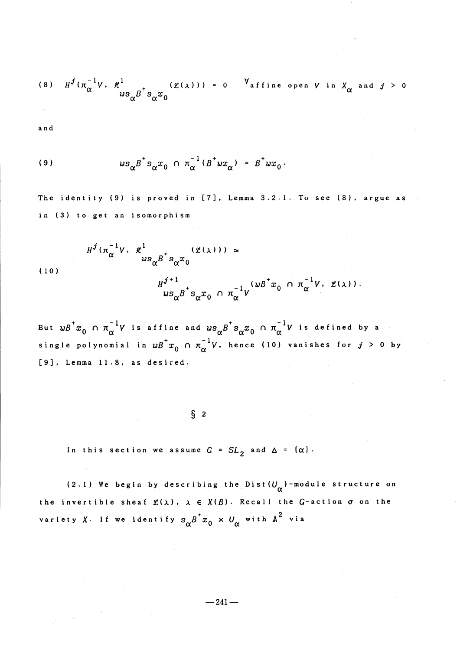(8) 
$$
H^{j}(\pi_{\alpha}^{-1}V, \pi_{\alpha}^{1}V)
$$
 = 0  $V_{\text{affine open }V \text{ in } X_{\alpha} \text{ and } j > 0}$ 

and

(9) 
$$
ws_{\alpha}B^{+} s_{\alpha} x_0 \cap \pi_{\alpha}^{-1} (B^{+}wx_{\alpha}) = B^{+}wx_0.
$$

 $H^{J}(\pi_{\alpha}^{-1}V \cdot \not\!{t}^{1}) \qquad (\mathfrak{L}(\lambda))) \simeq$  $u$ s  $\kappa$  s $x_{\ast}$ 

The identity (9) is proved in [7], Lemma 3.2.1. To see (8), argue as in (3) to get an isomorphism

(10)

$$
H^{j+1} \underset{ws_{\alpha}B^{\dagger} s_{\alpha}x_0}{\sim} \cap \pi_{\alpha}^{-1}V^{(wB^{\dagger}x_0)} \cap \pi_{\alpha}^{-1}V \cdot \mathcal{L}(\lambda)).
$$

But  $wB^{+}x_{0} \cap \pi_{\alpha}^{-1}V$  is affine and  $ws_{\alpha}B^{+}s_{\alpha}x_{0} \cap \pi_{\alpha}^{-1}V$  is defined by a single polynomial in  $wB^{+}x_{0} \cap \pi_{\alpha}^{-1}V$ , hence (10) vanishes for  $j > 0$  by [9], Lemma 11.8, as desired.

 $\S$  2

In this section we assume  $G = SL_{2}$  and  $\Delta = (\alpha)$ .

(2.1) We begin by describing the Dist  $(U_{\alpha})$  -module structure on the invertible sheaf  $\mathfrak{L}(\lambda)$ ,  $\lambda \in X(B)$ . Recall the G-action  $\sigma$  on the variety X. If we identify  $s_{\alpha}B^{+}x_{0} \times U_{\alpha}$  with  $A^{2}$  via

$$
-241-
$$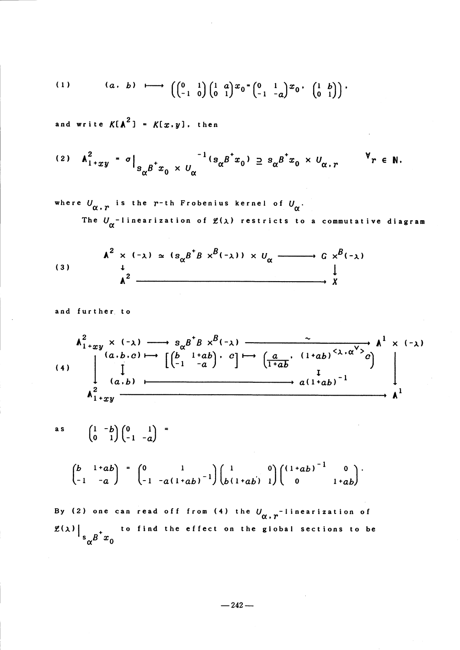(1) 
$$
(a, b) \longmapsto \left( \begin{pmatrix} 0 & 1 \\ -1 & 0 \end{pmatrix} \begin{pmatrix} 1 & a \\ 0 & 1 \end{pmatrix} x_0 \cdot \begin{pmatrix} 1 & b \\ -1 & -a \end{pmatrix} x_0 \cdot \begin{pmatrix} 1 & b \\ 0 & 1 \end{pmatrix} \right)
$$

and write  $K[A^{2}] = K[x, y]$ , then

$$
(2) \quad \mathbf{A}_{1+xy}^2 = \sigma \Big|_{S_{\alpha} B \to x_0} \times U_{\alpha}^{-1} (S_{\alpha} B \to x_0) \supseteq S_{\alpha} B \to x_0 \times U_{\alpha,r} \qquad \forall r \in \mathbb{N}.
$$

where  $U_{\alpha, r}$  is the r-th Frobenius kernel of  $U_{\alpha}$ .

The  $U_{\alpha}^{-1}$  inearization of  $\mathfrak{L}(\lambda)$  restricts to a commutative diagram

$$
(3) \qquad A^2 \times (-\lambda) \simeq (s_{\alpha} B^{\dagger} B \times^{B} (-\lambda)) \times U_{\alpha} \xrightarrow{\qquad} G \times^{B} (-\lambda)
$$
\n
$$
A^2 \xrightarrow{\qquad \qquad \downarrow \qquad \qquad \downarrow \qquad \qquad \downarrow \qquad \qquad \downarrow \qquad \qquad \downarrow \qquad \qquad \downarrow \qquad \qquad \downarrow \qquad \qquad \downarrow \qquad \qquad \downarrow \qquad \qquad \downarrow \qquad \qquad \downarrow \qquad \qquad \downarrow \qquad \qquad \downarrow \qquad \qquad \downarrow \qquad \qquad \downarrow \qquad \qquad \downarrow \qquad \qquad \downarrow \qquad \qquad \downarrow \qquad \qquad \downarrow \qquad \qquad \downarrow \qquad \qquad \downarrow \qquad \qquad \downarrow \qquad \qquad \downarrow \qquad \qquad \downarrow \qquad \qquad \downarrow \qquad \downarrow \qquad \downarrow \qquad \downarrow \qquad \qquad \downarrow \qquad \downarrow \qquad \downarrow \qquad \downarrow \qquad \downarrow \qquad \downarrow \qquad \downarrow \qquad \downarrow \qquad \downarrow \qquad \downarrow \qquad \downarrow \qquad \downarrow \qquad \downarrow \qquad \downarrow \qquad \downarrow \qquad \downarrow \qquad \downarrow \qquad \downarrow \qquad \downarrow \qquad \downarrow \qquad \downarrow \qquad \downarrow \qquad \downarrow \qquad \downarrow \qquad \downarrow \qquad \downarrow \qquad \downarrow \qquad \downarrow \qquad \downarrow \qquad \downarrow \qquad \downarrow \qquad \downarrow \qquad \downarrow \qquad \downarrow \qquad \downarrow \qquad \downarrow \qquad \downarrow \qquad \downarrow \qquad \downarrow \qquad \downarrow \qquad \downarrow \qquad \downarrow \qquad \downarrow \qquad \downarrow \qquad \downarrow \qquad \downarrow \qquad \downarrow \qquad \downarrow \qquad \downarrow \qquad \downarrow \qquad \downarrow \qquad \downarrow \qquad \downarrow \qquad \downarrow \qquad \downarrow \qquad \downarrow \qquad \downarrow \qquad \downarrow \qquad \downarrow \qquad \downarrow \qquad \downarrow \qquad \downarrow \qquad \downarrow \qquad \downarrow \qquad \downarrow \qquad \downarrow \qquad \downarrow \qquad \downarrow \qquad \downarrow \qquad \downarrow \qquad \downarrow \qquad \downarrow \q
$$

and further to

$$
\begin{array}{c}\nA_{1+xy}^2 \times (-\lambda) \longrightarrow s_{\alpha} B^* B \times B(-\lambda) \\
(a.b.c) \longmapsto \begin{bmatrix} \begin{pmatrix} b & 1+ab \\ -1 & -a \end{pmatrix} \end{bmatrix} \begin{pmatrix} a & (1+ab)^{3}\lambda \cdot \alpha^{3} \end{pmatrix} A^1 \times (-\lambda) \\
\downarrow \\
(a.b) \longmapsto a(1+ab)^{-1}\n\end{array}
$$

$$
\mathbf{a} \mathbf{s}
$$

$$
\begin{pmatrix} 1 & -b \ 0 & 1 \end{pmatrix} \begin{pmatrix} 0 & 1 \ -1 & -a \end{pmatrix} =
$$

$$
\begin{pmatrix} b & 1+ab \ -1 & -a \end{pmatrix} = \begin{pmatrix} 0 & 1 \ -1 & -a(1+ab)^{-1} \end{pmatrix} \begin{pmatrix} 1 & 0 \ b(1+ab) & 1 \end{pmatrix} \begin{pmatrix} (1+ab)^{-1} & 0 \ 0 & 1+ab \end{pmatrix}.
$$

By (2) one can read off from (4) the  $U_{\alpha, r}^{-1}$  inearization of  $\left. \frac{g(\lambda)}{\int_{s_{\alpha}B^{+}}x_{0}} \right|$ to find the effect on the gIobal sections to be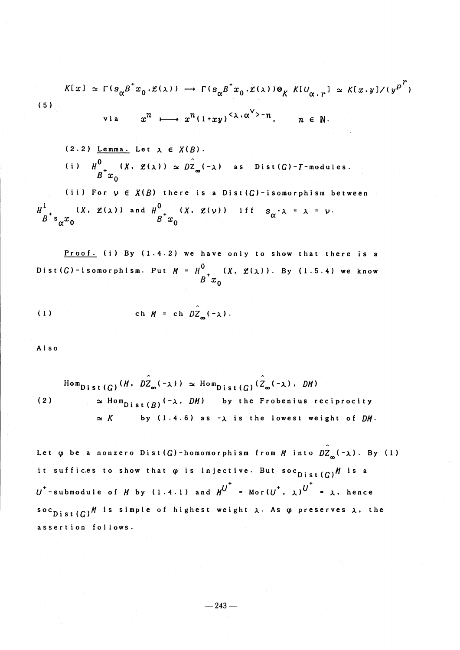$$
K[x] \simeq \Gamma(s_{\alpha}\beta^{*}x_{0}.\mathcal{L}(\lambda)) \longrightarrow \Gamma(s_{\alpha}\beta^{*}x_{0}.\mathcal{L}(\lambda)) \otimes_{K} K[U_{\alpha,r}] \simeq K[x,y]/(y^{p^{r}})
$$
  
(5) 
$$
via \qquad x^{n} \longmapsto x^{n}(1+xy)^{<\lambda \cdot \alpha^{\vee}>-n}, \qquad n \in \mathbb{N}.
$$

(2.2) Lemma. Let 
$$
\lambda \in X(B)
$$
.  
\n(i)  $H^0$   $(X, \mathcal{L}(\lambda)) \simeq D\hat{Z}_{\infty}(-\lambda)$  as Dist(*G*)-*T*-modules.  
\n*B*  $x_0$   
\n(ii) For  $\nu \in X(B)$  there is a Dist(*G*)-isomorphism between  
\n $H^1$   
\n $B^+ s_{\alpha} x_0$   
\n $B^+ x_0$   
\n(iv) and  $H^0$   
\n $B^+ x_0$   
\n $(X, \mathcal{L}(\nu))$  iff  $s_{\alpha} \cdot \lambda = \lambda = \nu$ .

Proof. (i) By (1.4.2) we have only to show that there is <sup>a</sup> Dist ( $G$ )-isomorphism. Put  $M$  =  $H^{0}_{-+}$  ( $X$ ,  $\mathscr{L}(\lambda)$ ). By (1.5.4) we know

(1) 
$$
\operatorname{ch} M = \operatorname{ch} DZ_{m}(-\lambda).
$$

Also

 $\text{Hom}_{Dist(G)}(M, \stackrel \frown{DZ_{\infty}}(-\lambda)) \simeq \text{Hom}_{Dist(G)}(\stackrel \frown{Z_{\infty}}(-\lambda). \stackrel \frown{DM})$ (2)  $\approx$  Hom<sub>Dist(B)</sub> (- $\lambda$ , DM) by the Frobenius reciprocity  $\approx K$  by (1.4.6) as - $\lambda$  is the lowest weight of DM.

Let  $\varphi$  be a nonzero Dist  $(G)$  -homomorphism from  $M$  into  $DZ_{\infty}(-\lambda)$ . By (1) it suffices to show that  $\varphi$  is injective. But  $\sec_{Dist(G)}M$  is a  $U^{+}$ -submodule of  $H$  by (1.4.1) and  $H^{U}$  = Mor( $U^{+}$ ,  $\lambda$ ) $^{U}$  =  $\lambda$ , hence  $s \circ c_{\text{Dist}}(G)$ <sup>*M*</sup> is simple of highest weight  $\lambda$ . As  $\varphi$  preserves  $\lambda$ , the assertion follows.

 $-243-$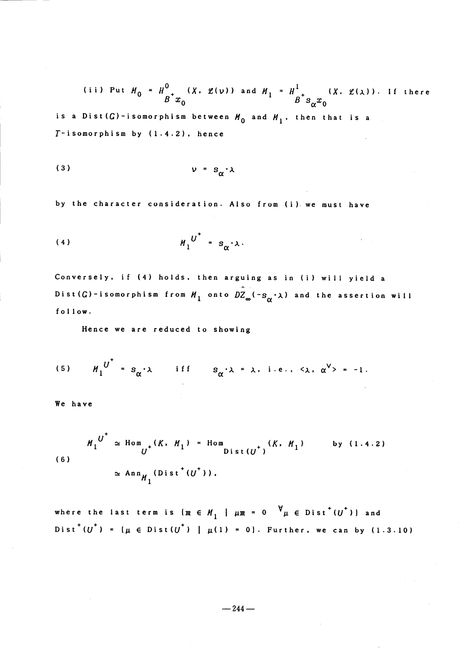(ii) Put 
$$
M_0 = H^0
$$
 <sub>$B^+$</sub>  $x_0$  $(X, \mathcal{L}(\nu))$  and  $M_1 = H^1$  <sub>$B^+$</sub>  $s_{\alpha}x_0$  $(X, \mathcal{L}(\lambda))$ . If there

is a Dist  $(G)$ -isomorphism between  $H_{0}$  and  $H_{1}$ , then that is a  $T-$ isomorphism by  $(1.4.2)$ . hence

$$
v = s_{\alpha} \cdot \lambda
$$

by the character consideration. Also from (i) we must have

\$U^{+}\$ (4) \$ll\_{1}\$ \$=\$ \$ s\_{\alpha}\cdot\lambda\$ .

Conversely, if (4) holds. then arguing as in (i) will yield <sup>a</sup> Dist(G)-isomorphism from  $M_{1}$  onto  $DZ_{\infty}(-s_{\alpha}\cdot\lambda)$  and the assertion will follow.

Hence we are reduced to showing

(5) 
$$
M_1^{U^{\top}} = s_{\alpha} \cdot \lambda
$$
 iff  $s_{\alpha} \cdot \lambda = \lambda$ , i.e.,  $\langle \lambda, \alpha^V \rangle = -1$ .

We have

$$
M_1^{U} \simeq \text{Hom}_{U^+}(K, M_1) = \text{Hom}_{Dist(U^+)}(K, M_1) \qquad \text{by (1.4.2)}
$$
  
(6)  

$$
\simeq \text{Ann}_{M_1}(Dist^+(U^+)),
$$

where the last term is  $\{m \in \mathcal{M}_{1} \mid \mu m = 0 \quad \forall \mu \in \text{Dist}^{+}(U^{+})\}$  and  $Dist^+(U^{+}) = (\mu \in Dist(U^{+}) \mid \mu(1) = 0].$  Further, we can by (1.3.10)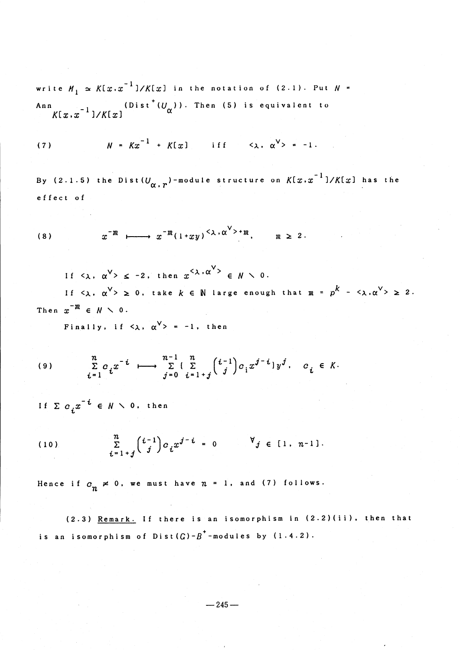write  $M_{1} \simeq K[x, x^{-1}]/K[x]$  in the notation of (2.1). Put  $N =$ Ann  $\begin{array}{cc} -1, & \text{(Dist}^+(U_{\alpha})) \text{. Then (5) is equivalent to} \end{array}$  $K[x,x^{-1}]/K[x]$ 

(7) 
$$
N = Kx^{-1} + K[x]
$$
 iff  $\langle \lambda, \alpha^V \rangle = -1$ .

By (2.1.5) the Dist( $U_{\boldsymbol{\alpha}$ , $r}$ )-module structure on  $K[x\boldsymbol{.}x^{-1}] / K[x]$  has the effect of

(8) 
$$
x^{-m} \longmapsto x^{-m} (1+xy)^{<\lambda \cdot \alpha^{<>}+m}
$$
,  $m \ge 2$ .

If  $\langle \lambda, \alpha^{\vee} \rangle \leq -2$ , then  $x^{\langle \lambda, \alpha \rangle} \in \mathbb{N} \setminus 0$ .

If  $\langle \lambda, \alpha^{\vee} \rangle \geq 0$ , take  $k \in \mathbb{N}$  large enough that  $m = p^{k} - \langle \lambda, \alpha^{\vee} \rangle \geq 2$ . Then  $x^{-m} \in N \times 0$ .

Finally, if  $\langle \lambda, \alpha^{\vee} \rangle = -1$ , then

$$
(9) \qquad \sum_{i=1}^n c_i x^{-i} \qquad \longrightarrow \qquad \sum_{j=0}^{n-1} \left( \sum_{i=1+j}^n {i-1 \choose j} c_i x^{j-i} \right) y^j, \qquad c_i \in K.
$$

If  $\Sigma$   $c_{j}x^{-i}$   $\in$   $N\,\smallsetminus\,$  0, then

(10) 
$$
\sum_{i=1+j}^{n} {i-1 \choose j} c_i x^{j-i} = 0 \qquad \forall j \in [1, n-1].
$$

Hence if  $c_{n}\neq 0$ , we must have  $n = 1$ , and (7) follows.

(2.3) Remark. If there is an isomorphism in (2.2)(ii). then that is an isomorphism of  $Dist(G) - B^{+}$ -modules by  $(1.4.2)$ .

$$
-245-
$$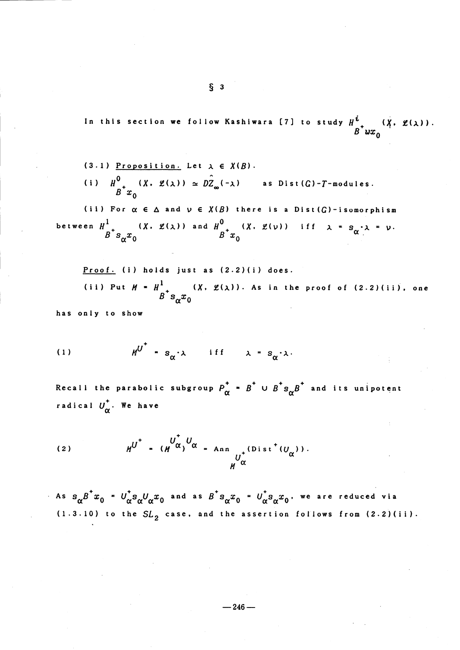In this section we follow Kashiwara [7] to study  $H^{\stackrel{\bullet}{t}}_{R^{\stackrel{\bullet}{t}}\wr\wr\gamma}$  ( $\chi$ ,  $\mathfrak{L}(\lambda)$ )

(3.1) Proposition. Let 
$$
\lambda \in X(B)
$$
.  
\n(i)  $H^0$   $(X, \mathcal{L}(\lambda)) \simeq D\mathbb{Z}_{\infty}(-\lambda)$  as Dist(*G*)-*T*-modules.  
\n(ii) For  $\alpha \in \Delta$  and  $\nu \in X(B)$  there is a Dist(*G*)-isomorphism  
\nbetween  $H^1$   $(X, \mathcal{L}(\lambda))$  and  $H^0$   $(X, \mathcal{L}(\nu))$  if  $\lambda = s_{\alpha} \cdot \lambda = \nu$ .  
\n $B^{\dagger} s_{\alpha} x_0$ 

Proof. (i) holds just as (2.2)(i) does.  
\n(ii) Put 
$$
M = H^1
$$
  
\n $B^{\dagger} s_{\alpha} x_0$   
\nas only to show

h a s

(1) 
$$
M^{U^+} = s_{\alpha} \cdot \lambda \quad \text{if } f = \lambda = s_{\alpha} \cdot \lambda.
$$

Recall the parabolic subgroup  $P_{\alpha}^{+}$  =  $B^{+}$  U  $B^{+} s_{\alpha}B^{+}$  and its unipotent radical  $U_{\alpha}^{+}$ . We have

(2) 
$$
H^{U^{+}} = (H^{U^{+}} \alpha)^{U} \alpha = \text{Ann}_{U^{+}}(Dist^{+}(U_{\alpha})).
$$

As  $s_{\alpha}B^{+}x_{0}$  =  $U_{\alpha}^{+}s_{\alpha}U_{\alpha}x_{0}$  and as  $B^{+}s_{\alpha}x_{0}$  =  $U_{\alpha}^{+}s_{\alpha}x_{0}$ , we are reduced via (1.3.10) to the  $SL_{2}$  case, and the assertion follows from (2.2)(ii).

 $\S$  3

–246–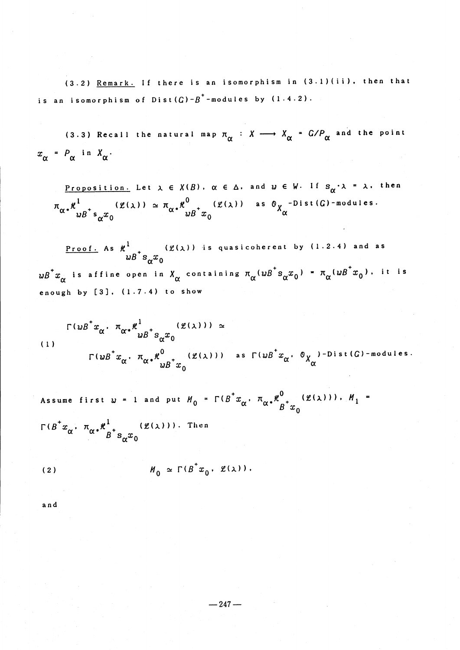(3.2) Remark. If there is an isomorphism in (3.1)(ii). then that is an isomorphism of  $Dist(G) - B^{+}$ -modules by  $(1.4.2)$ .

(3.3) Recall the natural map  $\pi_{\alpha}$  :  $X \longrightarrow X_{\alpha} = G/P_{\alpha}$  and the point  $x_{\alpha} = P_{\alpha}$  in  $X_{\alpha}$ .

Proposition. Let  $\lambda \in X(B)$  ,  $\alpha \in \Delta$  , and  $u \in V$  . If  $s_{\alpha}\cdot\lambda$  =  $\lambda$  , then  $\pi_{\alpha^*} \frac{\partial^1}{\partial t^2} \left( \frac{\partial^2}{\partial x^2} \right)^{1/2} \simeq \pi_{\alpha^*} \frac{\partial^0}{\partial t^2} \left( \frac{\partial^2}{\partial x^2} \right)^{1/2}$  as  $\sigma_{\alpha}$  -Dist $(G)$ -modules.

<u>Proof.</u> As  $\kappa^{1}$  ( $\mathcal{L}(\lambda)$ ) is quasicoherent by (1.2.4) and as  $wB^{+}x_{\alpha}$  is affine open in  $X_{\alpha}$  containing  $\pi_{\alpha}(wB^{+}s_{\alpha}x_{0}) = \pi_{\alpha}(wB^{+}x_{0})$ , it is enough by  $[3]$ ,  $(1.7.4)$  to show

$$
\Gamma(wB^{\dagger}x_{\alpha}, \pi_{\alpha^*}x_{ub}^1 + \sum_{wB^{\dagger}S_{\alpha}x_0} (\mathcal{L}(\lambda))) \simeq
$$
  
\n
$$
\Gamma(wB^{\dagger}x_{\alpha}, \pi_{\alpha^*}x_{ub}^0 + \sum_{wB^{\dagger}x_0} (\mathcal{L}(\lambda))) \text{ as } \Gamma(wB^{\dagger}x_{\alpha}, \theta_{X_{\alpha}}) \text{-Dist}(G) \text{-modules.}
$$

Assume first  $w = 1$  and put  $M_{0} = \Gamma(B^{+}x_{\alpha}, \pi_{\alpha} * \frac{\mu^{0}}{B^{+}x_{\alpha}} (\mathcal{L}(\lambda)))$ ,  $M_{1}$  $\Gamma \left(B^{\pm}x_{\alpha}\right),\ \pi_{\alpha} {\ast}^{\mu}_{-{\pm}} \qquad \left(\text{g}(\lambda)\right))\,.$  Then

$$
M_0 \simeq \Gamma(B^{\dagger} x_0, \mathcal{L}(\lambda)) \, .
$$

and

 $\overline{(}$ 

 $-247-$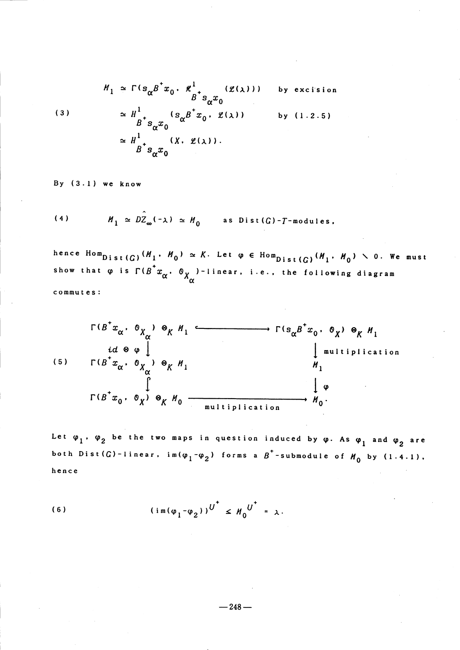(3)  

$$
M_1 \simeq \Gamma(s_{\alpha} B^{\dagger} x_0 \cdot \frac{d}{B^{\dagger}} s_{\alpha} x_0 \cdot \frac{g(\chi)}{g(\chi)}) \text{ by excision}
$$

$$
\simeq H^1_{B^{\dagger} S_{\alpha} x_0} \cdot \frac{(s_{\alpha} B^{\dagger} x_0 \cdot \frac{g(\chi)}{g(\chi)})}{(x \cdot \frac{g(\chi)}{g(\chi)})} \text{ by (1.2.5)}
$$

$$
\simeq H^1_{B^{\dagger} S_{\alpha} x_0}
$$

By (3.1) we know

(4)  $H_{1} \simeq D\hat{Z}_{\infty}(-\lambda) \simeq H_{0}$  as Dist  $(G)-T$  -modules.

hence  $\text{Hom}_{Dist}(G)$   $(M_1 \cdot H_{0}) \simeq K$ . Let  $\varphi \in \text{Hom}_{Dist}(G)$   $(M_1 \cdot H_{0}) \searrow 0$ . We must show that  $\varphi$  is  $\Gamma({\overline{B}}^*x_{\overline{\alpha}}^{},$   $\circledcirc_X$  )-linear, i.e., the following diagram commutes:



Let  $\varphi_{1}$ ,  $\varphi_{2}$  be the two maps in question induced by  $\varphi$ . As  $\varphi_{1}$  and  $\varphi_{2}$  are both Dist(G)-linear,  ${\rm im}(\phi_{1}^{}, -\phi_{2}^{}) \,$  forms a  $\overline{B}^{+}$ -submodule of  $\overline{H}_{0}$  by (1.4.1). hence

(6) 
$$
(\operatorname{im}(\varphi_1 - \varphi_2))^{U^+} \leq M_0^{U^+} = \lambda.
$$

$$
-248-
$$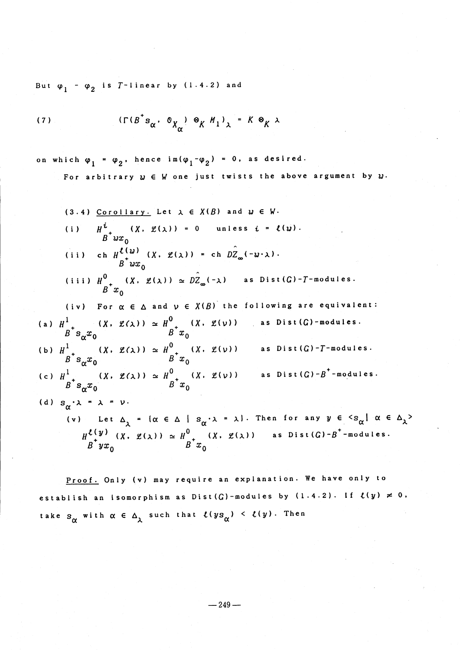But  $\varphi_{1}$  -  $\varphi_{2}$  is  $T$ -linear by (1.4.2) and

(7) 
$$
(\Gamma(B^{\dagger} s_{\alpha}, \mathcal{O}_{X_{\alpha}}) \otimes_{K} M_{1})_{\lambda} = K \otimes_{K} \lambda
$$

on which  $\varphi_{1} = \varphi_{2}$ , hence  $\mathrm{im}(\varphi_{1} - \varphi_{2}) = 0$ , as desired.

For arbitrary  $w \in W$  one just twists the above argument by  $w$ .

(3.4) 
$$
\frac{C \text{ or } 0.11 \text{ ary.}}{H}
$$
 Let  $\lambda \in X(B)$  and  $u \in W$ .

\n(i)  $\frac{u}{B} + \frac{u}{20}$ 

\n(ii)  $c h \frac{u}{B} \left( u \right) \left( x, \frac{u}{A} \right) = c h \frac{v}{B} \left( -u \cdot \lambda \right)$ .

\n(iii)  $\frac{u^0}{B} \left( x, \frac{u}{A} \right) \approx \frac{v}{B} \left( -\lambda \right)$  as  $\text{Dist}(G) - T - \text{modules}$ .

\n(iv) For  $\alpha \in \Delta$  and  $v \in X(B)$  the following are equivalent:

\n(a)  $\frac{u^1}{B} + \frac{v}{B} \left( x, \frac{u}{A} \right) \approx \frac{u^0}{B} + \frac{v}{B} \left( x, \frac{u}{B} \right)$ .

\n(b)  $H^1$   $\left( x, \frac{u}{A} \right) \approx \frac{u^0}{B} + \frac{v}{B} \left( x, \frac{u}{B} \right)$ .

\n(c)  $\frac{u^1}{B} + \frac{v}{B} \left( x, \frac{u}{A} \right) \approx \frac{u^0}{B} + \frac{v}{B} \left( x, \frac{u}{B} \right)$ .

\n(d)  $s_{\alpha} \cdot \lambda = \lambda = v$ .

\n(e) Let  $\Delta_{\lambda} = \{ \alpha \in \Delta \mid s_{\alpha} \cdot \lambda = \lambda \}$ . Then for any  $y \in \{ s_{\alpha} \mid \alpha \in \Delta_{\lambda} \}$ .

\n(f) Let  $\Delta_{\lambda} = \{ \alpha \in \Delta \mid s_{\alpha} \cdot \lambda = \lambda \}$ . Then for any  $y \in \{ s_{\alpha} \mid \alpha \in \Delta_{\lambda} \}$ .

\n $\frac{u}{b} \left( y \right) \left( x, \frac{u}{b} \right) \approx \frac{u^0}{b} + \frac{v$ 

 $B\left(yx_{n}\right)$   $B\left(x_{n}\right)$ 

Proof. Only (v) may require an explanation. We have only to establish an isomorphism as Dist(G)-modules by (1.4.2). If  $\bm{\ell(y)} \ \bm{\neq} \ \bm{0}$ , take  $s_{\alpha}$  with  $\alpha \in \Delta_{\chi}$  such that  $\ell(ys_{\alpha}) \leq \ell(y)$ . Then

 $-249-$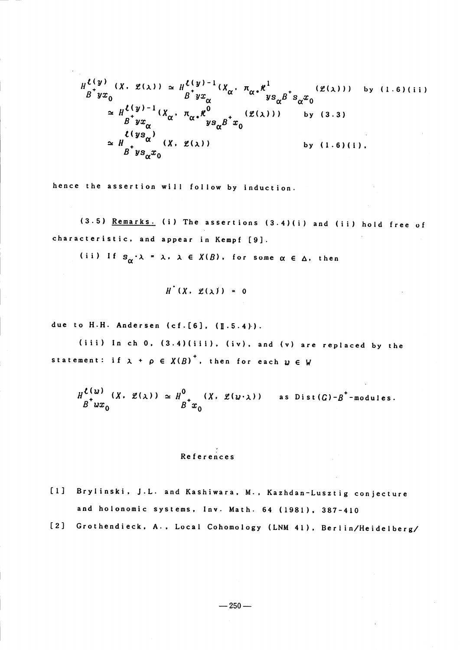$$
H_{\alpha}^{\ell(y)}(X, \mathcal{L}(\lambda)) \simeq H_{\alpha}^{\ell(y)-1}(X_{\alpha}, \pi_{\alpha}, \kappa^{1}) \simeq H_{\alpha}^{\ell(y)-1}(X_{\alpha}, \pi_{\alpha}, \kappa^{1}) \simeq H_{\alpha}^{\ell(y)-1}(X_{\alpha}, \pi_{\alpha}, \kappa^{0}) \simeq H_{\alpha}^{\ell(y)-1}(X_{\alpha}, \pi_{\alpha}, \kappa^{0}) \simeq H_{\alpha}^{\ell(y)-1}(X_{\alpha}, \mathcal{L}(\lambda)) \simeq H_{\alpha}^{\ell(y)-1}(X_{\alpha}, \mathcal{L}(\lambda)) \simeq H_{\alpha}^{\ell(y)-1}(X_{\alpha}, \mathcal{L}(\lambda)) \simeq H_{\alpha}^{\ell(y)-1}(X_{\alpha}, \mathcal{L}(\lambda)) \simeq \kappa^{1-y}_{\beta(y)-\alpha}(X_{\alpha}, \mathcal{L}(\lambda)) \simeq \kappa^{1-y}_{\beta(y)-\alpha}(X_{\alpha}, \mathcal{L}(\lambda)) \simeq \kappa^{1-y}_{\beta(y)-\alpha}(X_{\alpha}, \mathcal{L}(\lambda)) \simeq \kappa^{1-y}_{\beta(y)-\alpha}(X_{\alpha}, \mathcal{L}(\lambda)) \simeq \kappa^{1-y}_{\beta(y)-\alpha}(X_{\alpha}, \mathcal{L}(\lambda)) \simeq \kappa^{1-y}_{\beta(y)-\alpha}(X_{\alpha}, \mathcal{L}(\lambda)) \simeq \kappa^{1-y}_{\beta(y)-\alpha}(X_{\alpha}, \mathcal{L}(\lambda)) \simeq \kappa^{1-y}_{\beta(y)-\alpha}(X_{\alpha}, \mathcal{L}(\lambda)) \simeq \kappa^{1-y}_{\beta(y)-\alpha}(X_{\alpha}, \mathcal{L}(\lambda)) \simeq \kappa^{1-y}_{\beta(y)-\alpha}(X_{\alpha}, \mathcal{L}(\lambda)) \simeq \kappa^{1-y}_{\beta(y)-\alpha}(X_{\alpha}, \mathcal{L}(\lambda)) \simeq \kappa^{1-y}_{\beta(y)-\alpha}(X_{\alpha}, \mathcal{L}(\lambda)) \simeq \kappa^{1-y}_{\beta(y)-\alpha}(X_{\alpha}, \mathcal{L}(\lambda)) \simeq \kappa^{1-y}_{\beta(y)-\alpha}(X_{\alpha}, \mathcal{L}(\lambda)) \simeq \kappa^{1-y}_{\beta(y)-\alpha}(X_{\alpha}, \mathcal{L}(\lambda)) \simeq \
$$

hence the assertion will follow by induction.

 $(3.5)$  Remarks. (i) The assertions  $(3.4)(i)$  and (ii) hold free of characteristic, and appear in Kempf [9].

(ii) If  $s_{\alpha}\cdot\lambda = \lambda$ ,  $\lambda \in X(B)$ , for some  $\alpha \in \Delta$ , then

$$
H^{\bullet}(X, \mathscr{L}(\lambda)^{j}) = 0
$$

due to H.H. Andersen (cf. [6],  $([1.5.4)\cdot )$ .

(iii) In ch 0,  $(3.4)$ (iii), (iv), and (v) are replaced by the statement: if  $\lambda$  +  $\rho$   $\in$   $X(B)^{+}$ , then for each  $\omega$   $\in$   $W$ 

 $H^{L(\Omega)}_{\substack{b\to \infty}} (X, \mathscr{L}(\lambda)) \simeq H^{0}_{\substack{b\to \infty}} (X, \mathscr{L}(\omega\cdot\lambda))$  as Dist  $(G)-B^{+}$ -modules.

References

- [1] Brylinski, J.L. and Kashiwara, M., Kazhdan-Lusztig conjecture and holonomic systems. lnv. Math. <sup>64</sup> (1981), 387-410
- [2] Grothendieck. A., Local Cohomology (LNM 41), Berlin/Heidelberg/